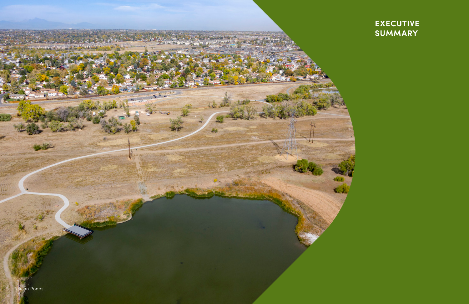

# **EXECUTIVE** SUMMARY

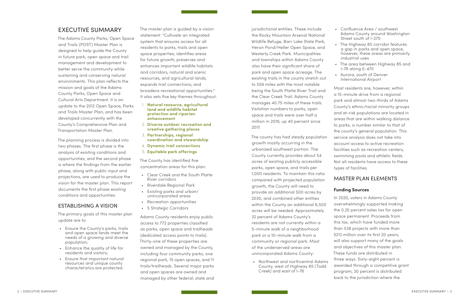# EXECUTIVE SUMMARY

The Adams County Parks, Open Space and Trails (POST) Master Plan is designed to help guide the County in future park, open space and trail management and development to better serve the community while sustaining and conserving natural environments. This plan reflects the mission and goals of the Adams County Parks, Open Space and Cultural Arts Department. It is an update to the 2012 Open Space, Parks and Trails Master Plan, and has been developed concurrently with the County's Comprehensive Plan and Transportation Master Plan.

The planning process is divided into two phases. The first phase is the analysis of existing conditions and opportunities, and the second phase is where the findings from the earlier phase, along with public input and projections, are used to produce the vision for the master plan. This report documents the first phase existing conditions and opportunities.

# ESTABLISHING A VISION

The primary goals of this master plan update are to:

- Ensure the County's parks, trails and open space lands meet the needs of a growing and diverse population;
- Enhance the quality of life for residents and visitors;
- Ensure that important natural resources and unique county characteristics are protected.

jurisdictional entities. These include the Rocky Mountain Arsenal National Wildlife Refuge, Barr Lake State Park, Heron Pond/Heller Open Space, and Westerly Creek Park. Municipalities and townships within Adams County also have their significant share of park and open space acreage. The existing trails in the county stretch out to 559 miles with the most notable being the South Platte River Trail and the Clear Creek Trail. Adams County manages 40.75 miles of these trails.

Visitation numbers to parks, open space and trails were over half a million in 2019, up 40 percent since 2017.

The county has had steady population growth mostly occurring in the urbanized southwest portion. The County currently provides about 54 acres of existing publicly accessible parks, open space, and trails per 1,000 residents. To maintain this ratio compared with projected population growth, the County will need to provide an additional 500 acres by 2030, and combined other entities within the County an additional 6,500 acres will be needed. Approximately 32 percent of Adams County's residents are not currently within a 5-minute walk of a neighborhood park or a 10-minute walk from a community or regional park. Most of the underserved areas are unincorporated Adams County:

• Northwest and northcentral Adams County, west of Highway 85 (Todd Creek) and east of I-76

The master plan is guided by a vision statement: "Cultivate an integrated system that ensures access for all residents to parks, trails and open space properties; identifies areas for future growth; preserves and enhances important wildlife habitats and corridors, natural and scenic resources, and agricultural lands; expands trail connections; and broadens recreational opportunities." It also sets five key themes throughout:

- 1. **Natural resource, agricultural land and wildlife habitat protection and riparian enhancement**
- 2. **Diverse outdoor recreation and creative gathering places**
- 3. **Partnerships, regional coordination and stewardship**
- 4. **Dynamic trail connections**
- 5. **Equitable park offerings**

The County has identified five concentration areas for this plan:

- Clear Creek and the South Platte River corridors
- Riverdale Regional Park
- Existing parks and urban/ unincorporated areas
- Recreation opportunities
- 5 Strategic Corridors

Adams County residents enjoy public access to 772 properties classified as parks, open space and trailheads (dedicated access points to trails). Thirty-one of these properties are owned and managed by the County, including four community parks, one regional park, 15 open spaces, and 11 trails/trailheads. Several major parks and open spaces are owned and managed by other federal, state and

• Confluence Area / southwest Adams County around Washington Street south of I-270

- 
- The Highway 85 corridor features a gap in parks and open space, however, these areas are primarily industrial uses
- The area between Highway 85 and I-76 along E-470 • Aurora, south of Denver International Airport

Most residents are, however, within a 15-minute drive from a regional park and almost two-thirds of Adams County's ethnic/racial minority groups and at-risk populations are located in areas that are within walking distance to parks, a number similar to that of the county's general population. This service analysis does not take into account access to active recreation facilities such as recreation centers, swimming pools and athletic fields. Not all residents have access to these types of facilities.

# MASTER PLAN ELEMENTS

# **Funding Sources**

In 2020, voters in Adams County overwhelmingly supported making the 0.25 percent sales tax for open space permanent. Proceeds from this tax, which have funded more than 538 projects with more than \$212 million over its first 20 years, will also support many of the goals and objectives of this master plan. These funds are distributed in three ways. Sixty-eight percent is awarded through a competitive grant program, 30 percent is distributed back to the jurisdiction where the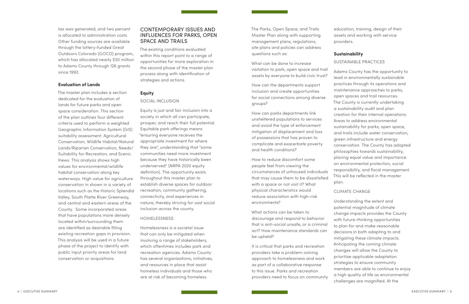tax was generated, and two percent is allocated to administration costs. Other funding sources are available through the lottery-funded Great Outdoors Colorado (GOCO) program, which has allocated nearly \$30 million to Adams County through 126 grants since 1992.

# **Evaluation of Lands**

The master plan includes a section dedicated for the evaluation of lands for future parks and open space consideration. This section of the plan outlines four different criteria used to perform a weighted Geographic Information System (GIS) suitability assessment: Agricultural Conservation, Wildlife Habitat/Natural Lands/Riparian Conservation, Needs/ Suitability for Recreation, and Scenic Views. This analysis shows high values for environmental/wildlife habitat conservation along key waterways. High value for agriculture conservation in shown in a variety of locations such as the Historic Splendid Valley, South Platte River Greenway, and central and eastern areas of the County. Some incorporated areas that have populations more densely located within/surrounding them are identified as desirable filling existing recreation gaps in provision. This analysis will be used in a future phase of the project to identify with public input priority areas for land conservation or acquisitions.

The Parks, Open Space, and Trails Master Plan along with supporting management plans, regulations, site plans and policies can address questions such as:

What can be done to increase visitation to park, open space and trail assets by everyone to build civic trust?

How can the departments support inclusion and create opportunities for social connections among diverse groups?

How can parks departments link unsheltered populations to services and avoid the type of enforcement mitigation of displacement and loss of possessions that has proven to complicate and exacerbate poverty and health conditions?

How to reduce discomfort some people feel from viewing the circumstances of unhoused individuals that may cause them to be dissatisfied with a space or not visit it? What physical characteristics would reduce association with high-risk environments?

What actions can be taken to discourage and respond to behavior that is anti-social unsafe, or a criminal act? How maintenance standards can be upheld?

It is critical that parks and recreation providers take a problem-solving approach to homelessness and work as part of a collaborative response to this issue. Parks and recreation providers need to focus on community

# CONTEMPORARY ISSUES AND INFLUENCES FOR PARKS, OPEN SPACE AND TRAILS

The existing conditions evaluated within this report point to a range of opportunities for more exploration in the second phase of the master plan process along with identification of strategies and actions.

# **Equity**

### SOCIAL INCLUSION

Equity is just and fair inclusion into a society in which all can participate, prosper, and reach their full potential. Equitable park offerings means "ensuring everyone receives the appropriate investment for where they are", understanding that "some communities need more investment because they have historically been underserved" (NRPA 2020 equity definition). The opportunity exists throughout this master plan to establish diverse spaces for outdoor recreation, community gathering, connectivity, and experiences in nature, thereby striving for vast social inclusion across the county.

# HOMELESSNESS

Homelessness is a societal issue that can only be mitigated when involving a range of stakeholders, which oftentimes includes park and recreation agencies. Adams County has several organizations, initiatives, and resources in place that assist homeless individuals and those who are at risk of becoming homeless.

education, training, design of their assets and working with service providers.

# **Sustainability**

SUSTAINABLE PRACTICES Adams County has the opportunity to lead in environmentally sustainable practices through its operations and maintenance approaches to parks, open spaces and trail resources. The County is currently undertaking a sustainability audit and plan creation for their internal operations. Areas to address environmental sustainability for parks, open space, and trails include water conservation, green infrastructure and energy conservation. The County has adopted philosophies towards sustainability, placing equal value and importance on environmental protection, social responsibility, and fiscal management. This will be reflected in the master plan. CLIMATE CHANGE Understanding the extent and potential magnitude of climate change impacts provides the County with future-thinking opportunities to plan for and make reasonable decisions in both adapting to and mitigating these climate impacts. Anticipating the coming climate changes will allow the County to prioritize applicable adaptation strategies to ensure community members are able to continue to enjoy a high quality of life as environmental challenges are magnified. At the